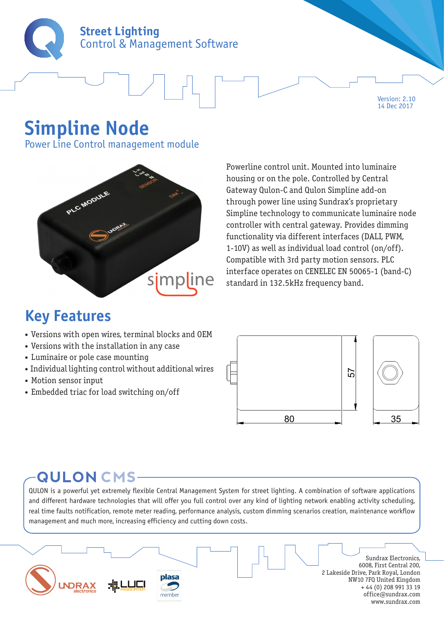

# **Simpline Node**

Power Line Control management module



Powerline control unit. Mounted into luminaire housing or on the pole. Controlled by Central Gateway Qulon-C and Qulon Simpline add-on through power line using Sundrax's proprietary Simpline technology to communicate luminaire node controller with central gateway. Provides dimming functionality via different interfaces (DALI, PWM, 1-10V) as well as individual load control (on/off). Compatible with 3rd party motion sensors. PLC interface operates on CENELEC EN 50065-1 (band-C) standard in 132.5kHz frequency band.

Version: 2.10 14 Dec 2017

### **Key Features**

- Versions with open wires, terminal blocks and OEM
- Versions with the installation in any case
- Luminaire or pole case mounting
- Individual lighting control without additional wires
- Motion sensor input
- Embedded triac for load switching on/off



### **QULON CMS-**

QULON is a powerful yet extremely flexible Central Management System for street lighting. A combination of software applications and different hardware technologies that will offer you full control over any kind of lighting network enabling activity scheduling, real time faults notification, remote meter reading, performance analysis, custom dimming scenarios creation, maintenance workflow management and much more, increasing efficiency and cutting down costs.

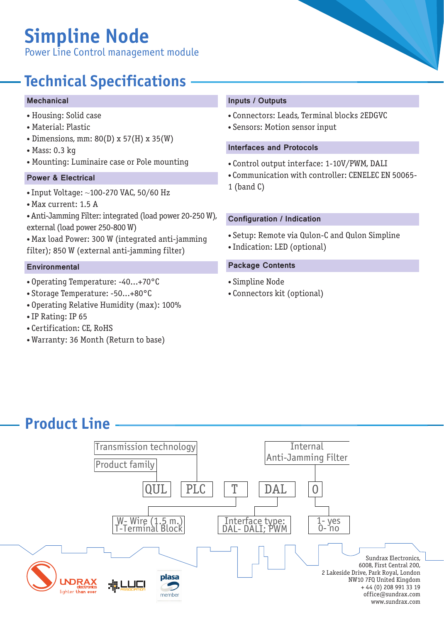# **Simpline Node**

Power Line Control management module

## **Technical Specifications**

#### Mechanical

- Housing: Solid case
- Material: Plastic
- Dimensions, mm: 80(D) x 57(H) x 35(W)
- Mass: 0.3 kg
- Mounting: Luminaire case or Pole mounting Control output interface: 1-10V/PWM, DALI

#### Power & Electrical

- Input Voltage: ~100-270 VAC, 50/60 Hz
- Max current: 1.5 A
- Anti-Jamming Filter: integrated (load power 20-250 W), external (load power 250-800 W)
- Max load Power: 300 W (integrated anti-jamming filter); 850 W (external anti-jamming filter)

- Operating Temperature: -40...+70°C
- Storage Temperature: -50...+80°C
- Operating Relative Humidity (max): 100%
- IP Rating: IP 65
- Certification: CE, RoHS
- Warranty: 36 Month (Return to base)

#### Inputs / Outputs

- Connectors: Leads, Terminal blocks 2EDGVС
- Sensors: Motion sensor input

#### Interfaces and Protocols

- 
- Communication with controller: CENELEC EN 50065-
- 1 (band C)

#### Configuration / Indication

- Setup: Remote via Qulon-C and Qulon Simpline
- Indication: LED (optional)

#### Environmental **Package Contents**

- Simpline Node
- Connectors kit (optional)

### **Product Line**